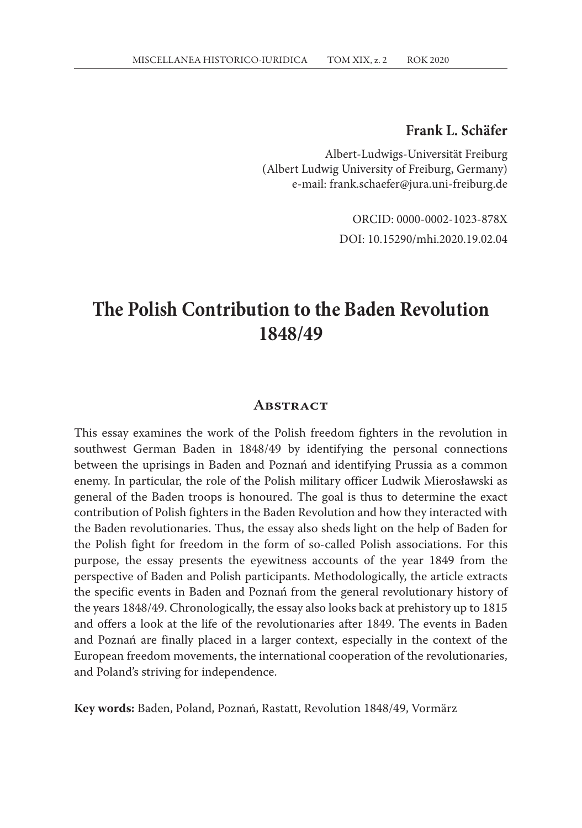#### **Frank L. Schäfer**

Albert-Ludwigs-Universität Freiburg (Albert Ludwig University of Freiburg, Germany) e-mail: frank.schaefer@jura.uni-freiburg.de

> ORCID: 0000-0002-1023-878X DOI: 10.15290/mhi.2020.19.02.04

# **The Polish Contribution to the Baden Revolution 1848/49**

#### **Abstract**

This essay examines the work of the Polish freedom fighters in the revolution in southwest German Baden in 1848/49 by identifying the personal connections between the uprisings in Baden and Poznań and identifying Prussia as a common enemy. In particular, the role of the Polish military officer Ludwik Mierosławski as general of the Baden troops is honoured. The goal is thus to determine the exact contribution of Polish fighters in the Baden Revolution and how they interacted with the Baden revolutionaries. Thus, the essay also sheds light on the help of Baden for the Polish fight for freedom in the form of so-called Polish associations. For this purpose, the essay presents the eyewitness accounts of the year 1849 from the perspective of Baden and Polish participants. Methodologically, the article extracts the specific events in Baden and Poznań from the general revolutionary history of the years 1848/49. Chronologically, the essay also looks back at prehistory up to 1815 and offers a look at the life of the revolutionaries after 1849. The events in Baden and Poznań are finally placed in a larger context, especially in the context of the European freedom movements, the international cooperation of the revolutionaries, and Poland's striving for independence.

**Key words:** Baden, Poland, Poznań, Rastatt, Revolution 1848/49, Vormärz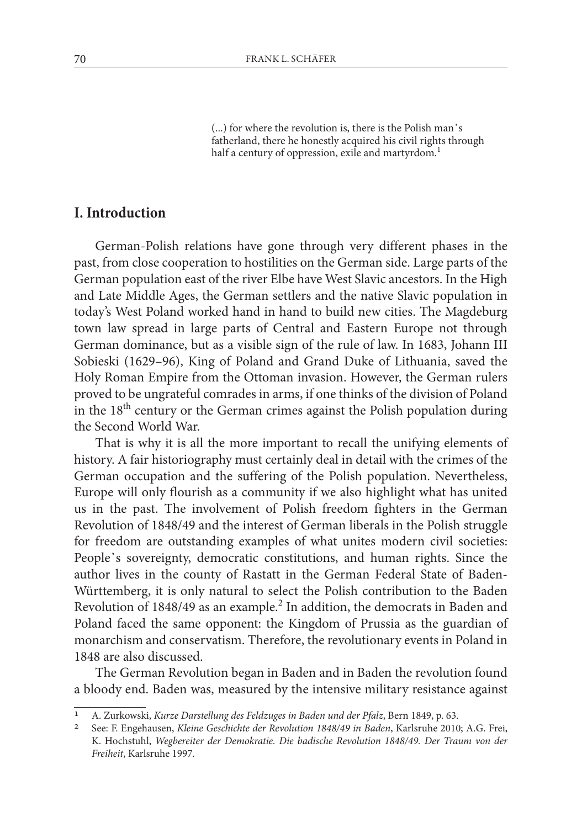(...) for where the revolution is, there is the Polish man᾽s fatherland, there he honestly acquired his civil rights through half a century of oppression, exile and martyrdom*.* 1

# **I. Introduction**

German-Polish relations have gone through very different phases in the past, from close cooperation to hostilities on the German side. Large parts of the German population east of the river Elbe have West Slavic ancestors. In the High and Late Middle Ages, the German settlers and the native Slavic population in today's West Poland worked hand in hand to build new cities. The Magdeburg town law spread in large parts of Central and Eastern Europe not through German dominance, but as a visible sign of the rule of law. In 1683, Johann III Sobieski (1629–96), King of Poland and Grand Duke of Lithuania, saved the Holy Roman Empire from the Ottoman invasion. However, the German rulers proved to be ungrateful comrades in arms, if one thinks of the division of Poland in the 18<sup>th</sup> century or the German crimes against the Polish population during the Second World War.

That is why it is all the more important to recall the unifying elements of history. A fair historiography must certainly deal in detail with the crimes of the German occupation and the suffering of the Polish population. Nevertheless, Europe will only flourish as a community if we also highlight what has united us in the past. The involvement of Polish freedom fighters in the German Revolution of 1848/49 and the interest of German liberals in the Polish struggle for freedom are outstanding examples of what unites modern civil societies: People᾽s sovereignty, democratic constitutions, and human rights. Since the author lives in the county of Rastatt in the German Federal State of Baden-Württemberg, it is only natural to select the Polish contribution to the Baden Revolution of 1848/49 as an example.<sup>2</sup> In addition, the democrats in Baden and Poland faced the same opponent: the Kingdom of Prussia as the guardian of monarchism and conservatism. Therefore, the revolutionary events in Poland in 1848 are also discussed.

The German Revolution began in Baden and in Baden the revolution found a bloody end. Baden was, measured by the intensive military resistance against

<sup>1</sup> A. Zurkowski, *Kurze Darstellung des Feldzuges in Baden und der Pfalz*, Bern 1849, p. 63.

<sup>2</sup> See: F. Engehausen, *Kleine Geschichte der Revolution 1848/49 in Baden*, Karlsruhe 2010; A.G. Frei, K. Hochstuhl, *Wegbereiter der Demokratie. Die badische Revolution 1848/49. Der Traum von der Freiheit*, Karlsruhe 1997.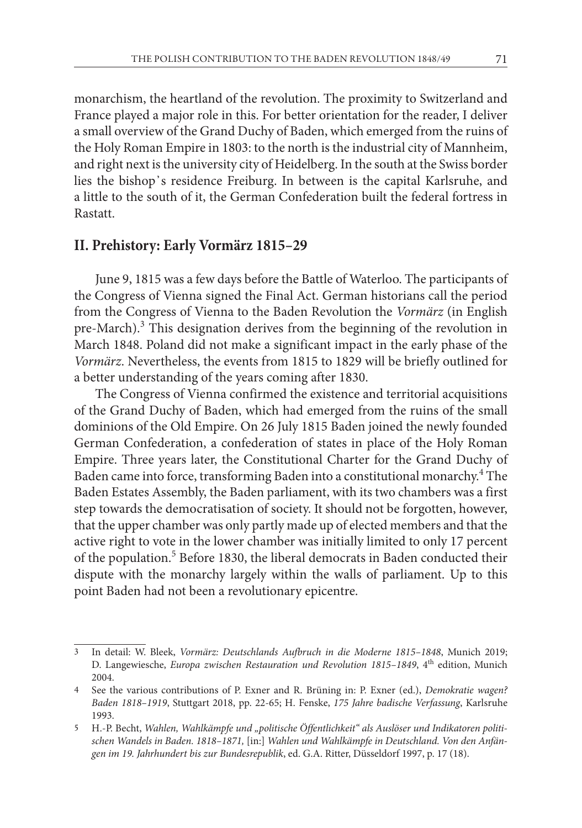monarchism, the heartland of the revolution. The proximity to Switzerland and France played a major role in this. For better orientation for the reader, I deliver a small overview of the Grand Duchy of Baden, which emerged from the ruins of the Holy Roman Empire in 1803: to the north is the industrial city of Mannheim, and right next is the university city of Heidelberg. In the south at the Swiss border lies the bishop᾽s residence Freiburg. In between is the capital Karlsruhe, and a little to the south of it, the German Confederation built the federal fortress in Rastatt.

#### **II. Prehistory: Early Vormärz 1815–29**

June 9, 1815 was a few days before the Battle of Waterloo. The participants of the Congress of Vienna signed the Final Act. German historians call the period from the Congress of Vienna to the Baden Revolution the *Vormärz* (in English pre-March).<sup>3</sup> This designation derives from the beginning of the revolution in March 1848. Poland did not make a significant impact in the early phase of the *Vormärz*. Nevertheless, the events from 1815 to 1829 will be briefly outlined for a better understanding of the years coming after 1830.

The Congress of Vienna confirmed the existence and territorial acquisitions of the Grand Duchy of Baden, which had emerged from the ruins of the small dominions of the Old Empire. On 26 July 1815 Baden joined the newly founded German Confederation, a confederation of states in place of the Holy Roman Empire. Three years later, the Constitutional Charter for the Grand Duchy of Baden came into force, transforming Baden into a constitutional monarchy.<sup>4</sup> The Baden Estates Assembly, the Baden parliament, with its two chambers was a first step towards the democratisation of society. It should not be forgotten, however, that the upper chamber was only partly made up of elected members and that the active right to vote in the lower chamber was initially limited to only 17 percent of the population.<sup>5</sup> Before 1830, the liberal democrats in Baden conducted their dispute with the monarchy largely within the walls of parliament. Up to this point Baden had not been a revolutionary epicentre.

<sup>3</sup> In detail: W. Bleek, *Vormärz: Deutschlands Aufbruch in die Moderne 1815–1848*, Munich 2019; D. Langewiesche, *Europa zwischen Restauration und Revolution 1815-1849*, 4<sup>th</sup> edition, Munich 2004.

<sup>4</sup> See the various contributions of P. Exner and R. Brüning in: P. Exner (ed.), *Demokratie wagen? Baden 1818–1919*, Stuttgart 2018, pp. 22-65; H. Fenske, *175 Jahre badische Verfassung*, Karlsruhe 1993.

<sup>5</sup> H.-P. Becht, *Wahlen, Wahlkämpfe und "politische Öffentlichkeit" als Auslöser und Indikatoren politischen Wandels in Baden. 1818–1871,* [in:] *Wahlen und Wahlkämpfe in Deutschland. Von den Anfängen im 19. Jahrhundert bis zur Bundesrepublik*, ed. G.A. Ritter, Düsseldorf 1997, p. 17 (18).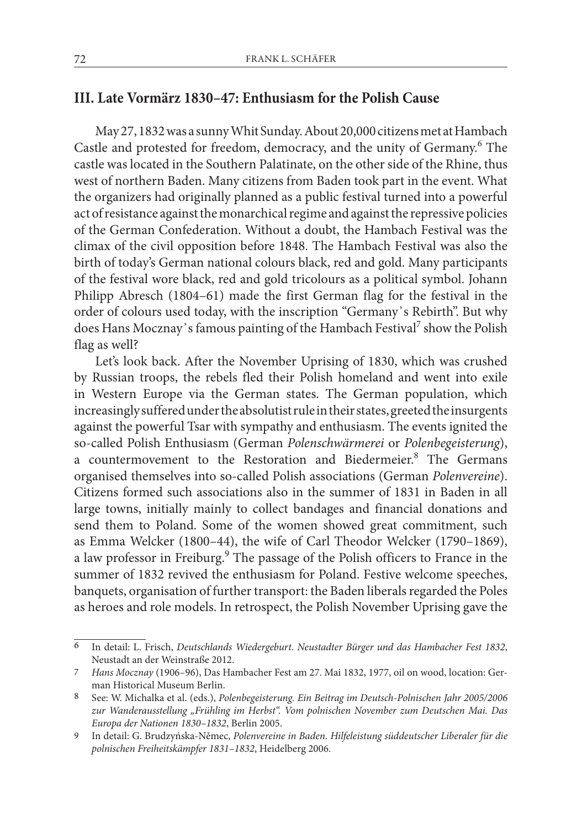# **III. Late Vormärz 1830–47: Enthusiasm for the Polish Cause**

May 27, 1832 was a sunny Whit Sunday. About 20,000 citizens met at Hambach Castle and protested for freedom, democracy, and the unity of Germany.<sup>6</sup> The castle was located in the Southern Palatinate, on the other side of the Rhine, thus west of northern Baden. Many citizens from Baden took part in the event. What the organizers had originally planned as a public festival turned into a powerful act of resistance against the monarchical regime and against the repressive policies of the German Confederation. Without a doubt, the Hambach Festival was the climax of the civil opposition before 1848. The Hambach Festival was also the birth of today's German national colours black, red and gold. Many participants of the festival wore black, red and gold tricolours as a political symbol. Johann Philipp Abresch (1804–61) made the first German flag for the festival in the order of colours used today, with the inscription "Germany᾽s Rebirth". But why does Hans Mocznay's famous painting of the Hambach Festival<sup>7</sup> show the Polish flag as well?

Let's look back. After the November Uprising of 1830, which was crushed by Russian troops, the rebels fled their Polish homeland and went into exile in Western Europe via the German states. The German population, which increasingly suffered under the absolutist rule in their states, greeted the insurgents against the powerful Tsar with sympathy and enthusiasm. The events ignited the so-called Polish Enthusiasm (German *Polenschwärmerei* or *Polenbegeisterung*), a countermovement to the Restoration and Biedermeier.<sup>8</sup> The Germans organised themselves into so-called Polish associations (German *Polenvereine*). Citizens formed such associations also in the summer of 1831 in Baden in all large towns, initially mainly to collect bandages and financial donations and send them to Poland. Some of the women showed great commitment, such as Emma Welcker (1800–44), the wife of Carl Theodor Welcker (1790–1869), a law professor in Freiburg.<sup>9</sup> The passage of the Polish officers to France in the summer of 1832 revived the enthusiasm for Poland. Festive welcome speeches, banquets, organisation of further transport: the Baden liberals regarded the Poles as heroes and role models. In retrospect, the Polish November Uprising gave the

<sup>6</sup> In detail: L. Frisch, *Deutschlands Wiedergeburt. Neustadter Bürger und das Hambacher Fest 1832*, Neustadt an der Weinstraße 2012.

<sup>7</sup> *Hans Mocznay* (1906–96), Das Hambacher Fest am 27. Mai 1832, 1977, oil on wood, location: German Historical Museum Berlin.

<sup>8</sup> See: W. Michalka et al. (eds.), *Polenbegeisterung. Ein Beitrag im Deutsch-Polnischen Jahr 2005/2006 zur Wanderausstellung "Frühling im Herbst". Vom polnischen November zum Deutschen Mai. Das Europa der Nationen 1830–1832*, Berlin 2005.

<sup>9</sup> In detail: G. Brudzyńska-Němec, *Polenvereine in Baden. Hilfeleistung süddeutscher Liberaler für die polnischen Freiheitskämpfer 1831–1832*, Heidelberg 2006.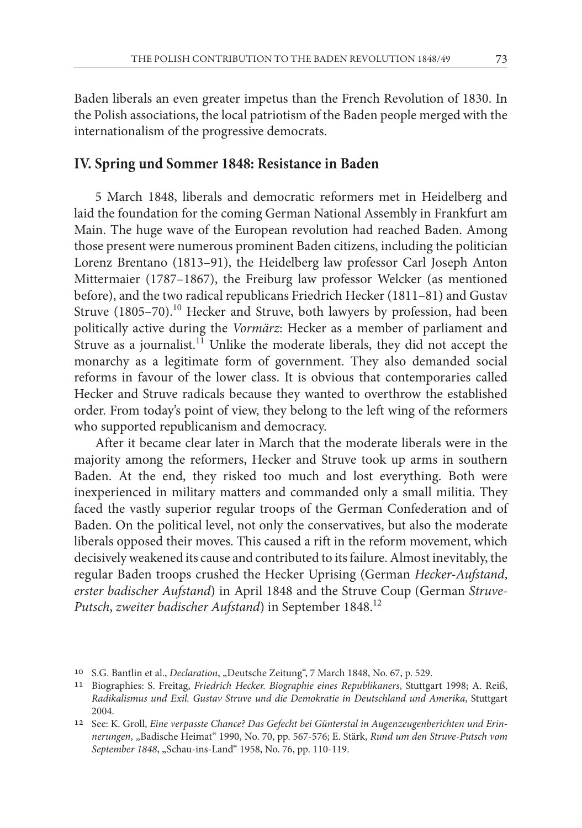73

Baden liberals an even greater impetus than the French Revolution of 1830. In the Polish associations, the local patriotism of the Baden people merged with the internationalism of the progressive democrats.

# **IV. Spring und Sommer 1848: Resistance in Baden**

5 March 1848, liberals and democratic reformers met in Heidelberg and laid the foundation for the coming German National Assembly in Frankfurt am Main. The huge wave of the European revolution had reached Baden. Among those present were numerous prominent Baden citizens, including the politician Lorenz Brentano (1813–91), the Heidelberg law professor Carl Joseph Anton Mittermaier (1787–1867), the Freiburg law professor Welcker (as mentioned before), and the two radical republicans Friedrich Hecker (1811–81) and Gustav Struve (1805–70).<sup>10</sup> Hecker and Struve, both lawyers by profession, had been politically active during the *Vormärz*: Hecker as a member of parliament and Struve as a journalist.<sup>11</sup> Unlike the moderate liberals, they did not accept the monarchy as a legitimate form of government. They also demanded social reforms in favour of the lower class. It is obvious that contemporaries called Hecker and Struve radicals because they wanted to overthrow the established order. From today's point of view, they belong to the left wing of the reformers who supported republicanism and democracy.

After it became clear later in March that the moderate liberals were in the majority among the reformers, Hecker and Struve took up arms in southern Baden. At the end, they risked too much and lost everything. Both were inexperienced in military matters and commanded only a small militia. They faced the vastly superior regular troops of the German Confederation and of Baden. On the political level, not only the conservatives, but also the moderate liberals opposed their moves. This caused a rift in the reform movement, which decisively weakened its cause and contributed to its failure. Almost inevitably, the regular Baden troops crushed the Hecker Uprising (German *Hecker-Aufstand*, *erster badischer Aufstand*) in April 1848 and the Struve Coup (German *Struve-Putsch*, *zweiter badischer Aufstand*) in September 1848.12

<sup>&</sup>lt;sup>10</sup> S.G. Bantlin et al., *Declaration*, "Deutsche Zeitung", 7 March 1848, No. 67, p. 529.

<sup>11</sup> Biographies: S. Freitag, *Friedrich Hecker. Biographie eines Republikaners*, Stuttgart 1998; A. Reiß, *Radikalismus und Exil. Gustav Struve und die Demokratie in Deutschland und Amerika*, Stuttgart 2004.

<sup>12</sup> See: K. Groll, *Eine verpasste Chance? Das Gefecht bei Günterstal in Augenzeugenberichten und Erinnerungen*, "Badische Heimat" 1990, No. 70, pp. 567-576; E. Stärk, *Rund um den Struve-Putsch vom September 1848*, "Schau-ins-Land" 1958, No. 76, pp. 110-119.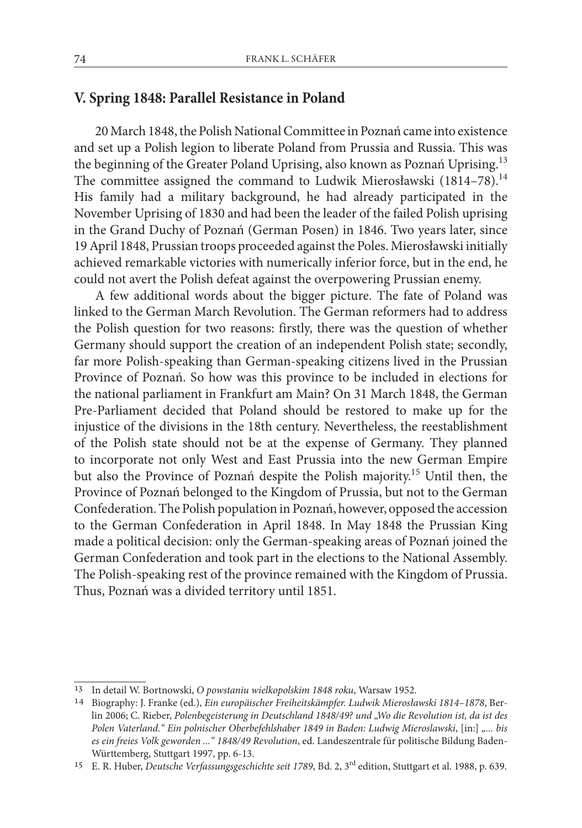# **V. Spring 1848: Parallel Resistance in Poland**

20 March 1848, the Polish National Committee in Poznań came into existence and set up a Polish legion to liberate Poland from Prussia and Russia. This was the beginning of the Greater Poland Uprising, also known as Poznań Uprising.<sup>13</sup> The committee assigned the command to Ludwik Mierosławski (1814–78).<sup>14</sup> His family had a military background, he had already participated in the November Uprising of 1830 and had been the leader of the failed Polish uprising in the Grand Duchy of Poznań (German Posen) in 1846. Two years later, since 19 April 1848, Prussian troops proceeded against the Poles. Mierosławski initially achieved remarkable victories with numerically inferior force, but in the end, he could not avert the Polish defeat against the overpowering Prussian enemy.

A few additional words about the bigger picture. The fate of Poland was linked to the German March Revolution. The German reformers had to address the Polish question for two reasons: firstly, there was the question of whether Germany should support the creation of an independent Polish state; secondly, far more Polish-speaking than German-speaking citizens lived in the Prussian Province of Poznań. So how was this province to be included in elections for the national parliament in Frankfurt am Main? On 31 March 1848, the German Pre-Parliament decided that Poland should be restored to make up for the injustice of the divisions in the 18th century. Nevertheless, the reestablishment of the Polish state should not be at the expense of Germany. They planned to incorporate not only West and East Prussia into the new German Empire but also the Province of Poznań despite the Polish majority.15 Until then, the Province of Poznań belonged to the Kingdom of Prussia, but not to the German Confederation. The Polish population in Poznań, however, opposed the accession to the German Confederation in April 1848. In May 1848 the Prussian King made a political decision: only the German-speaking areas of Poznań joined the German Confederation and took part in the elections to the National Assembly. The Polish-speaking rest of the province remained with the Kingdom of Prussia. Thus, Poznań was a divided territory until 1851.

<sup>13</sup> In detail W. Bortnowski, *O powstaniu wielkopolskim 1848 roku*, Warsaw 1952.

<sup>14</sup> Biography: J. Franke (ed.), *Ein europäischer Freiheitskämpfer. Ludwik Mierosławski 1814–1878*, Berlin 2006; C. Rieber, *Polenbegeisterung in Deutschland 1848/49? und "Wo die Revolution ist, da ist des Polen Vaterland." Ein polnischer Oberbefehlshaber 1849 in Baden: Ludwig Mieroslawski*, [in:] *"... bis es ein freies Volk geworden ..." 1848/49 Revolution*, ed. Landeszentrale für politische Bildung Baden-Württemberg, Stuttgart 1997, pp. 6-13.

<sup>15</sup> E. R. Huber, *Deutsche Verfassungsgeschichte seit 1789*, Bd. 2, 3rd edition, Stuttgart et al. 1988, p. 639.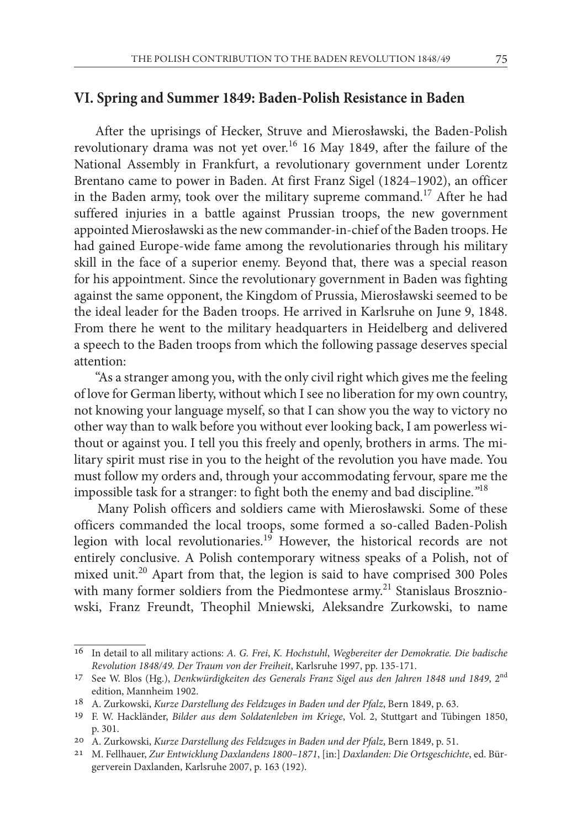#### **VI. Spring and Summer 1849: Baden-Polish Resistance in Baden**

After the uprisings of Hecker, Struve and Mierosławski, the Baden-Polish revolutionary drama was not yet over.16 16 May 1849, after the failure of the National Assembly in Frankfurt, a revolutionary government under Lorentz Brentano came to power in Baden. At first Franz Sigel (1824–1902), an officer in the Baden army, took over the military supreme command.17 After he had suffered injuries in a battle against Prussian troops, the new government appointed Mierosławski as the new commander-in-chief of the Baden troops. He had gained Europe-wide fame among the revolutionaries through his military skill in the face of a superior enemy. Beyond that, there was a special reason for his appointment. Since the revolutionary government in Baden was fighting against the same opponent, the Kingdom of Prussia, Mierosławski seemed to be the ideal leader for the Baden troops. He arrived in Karlsruhe on June 9, 1848. From there he went to the military headquarters in Heidelberg and delivered a speech to the Baden troops from which the following passage deserves special attention:

"As a stranger among you, with the only civil right which gives me the feeling of love for German liberty, without which I see no liberation for my own country, not knowing your language myself, so that I can show you the way to victory no other way than to walk before you without ever looking back, I am powerless without or against you. I tell you this freely and openly, brothers in arms. The military spirit must rise in you to the height of the revolution you have made. You must follow my orders and, through your accommodating fervour, spare me the impossible task for a stranger: to fight both the enemy and bad discipline.*"* 18

Many Polish officers and soldiers came with Mierosławski. Some of these officers commanded the local troops, some formed a so-called Baden-Polish legion with local revolutionaries.<sup>19</sup> However, the historical records are not entirely conclusive. A Polish contemporary witness speaks of a Polish, not of mixed unit.<sup>20</sup> Apart from that, the legion is said to have comprised 300 Poles with many former soldiers from the Piedmontese army.<sup>21</sup> Stanislaus Broszniowski, Franz Freundt, Theophil Mniewski*,* Aleksandre Zurkowski, to name

<sup>16</sup> In detail to all military actions: *A. G. Frei*, *K. Hochstuhl*, *Wegbereiter der Demokratie. Die badische Revolution 1848/49. Der Traum von der Freiheit*, Karlsruhe 1997, pp. 135-171.

<sup>17</sup> See W. Blos (Hg.), *Denkwürdigkeiten des Generals Franz Sigel aus den Jahren 1848 und 1849*, 2nd edition, Mannheim 1902.

<sup>18</sup> A. Zurkowski, *Kurze Darstellung des Feldzuges in Baden und der Pfalz*, Bern 1849, p. 63.

<sup>19</sup> F. W. Hackländer, *Bilder aus dem Soldatenleben im Kriege*, Vol. 2, Stuttgart and Tübingen 1850, p. 301.

<sup>20</sup> A. Zurkowski, *Kurze Darstellung des Feldzuges in Baden und der Pfalz*, Bern 1849, p. 51.

<sup>21</sup> M. Fellhauer, *Zur Entwicklung Daxlandens 1800–1871*, [in:] *Daxlanden: Die Ortsgeschichte*, ed. Bürgerverein Daxlanden, Karlsruhe 2007, p. 163 (192).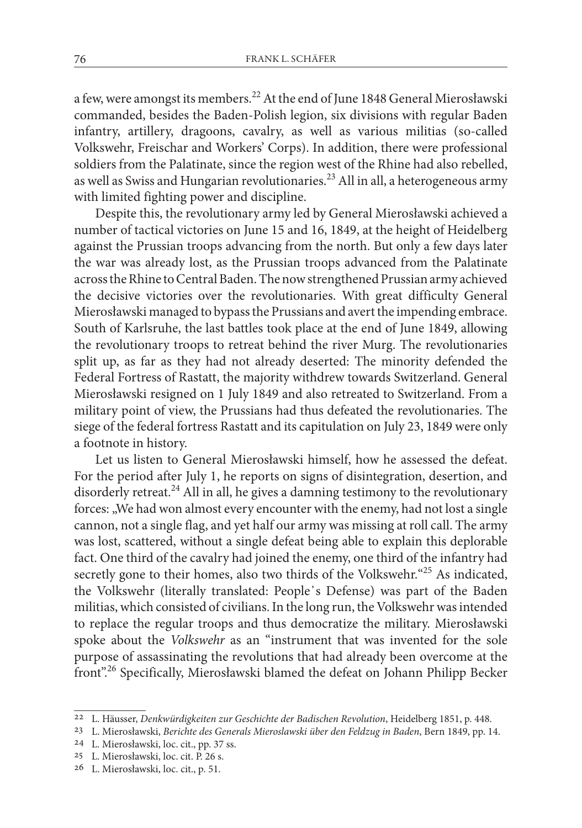a few, were amongst its members.22 At the end of June 1848 General Mierosławski commanded, besides the Baden-Polish legion, six divisions with regular Baden infantry, artillery, dragoons, cavalry, as well as various militias (so-called Volkswehr, Freischar and Workers' Corps). In addition, there were professional soldiers from the Palatinate, since the region west of the Rhine had also rebelled, as well as Swiss and Hungarian revolutionaries.<sup>23</sup> All in all, a heterogeneous army with limited fighting power and discipline.

Despite this, the revolutionary army led by General Mierosławski achieved a number of tactical victories on June 15 and 16, 1849, at the height of Heidelberg against the Prussian troops advancing from the north. But only a few days later the war was already lost, as the Prussian troops advanced from the Palatinate across the Rhine to Central Baden. The now strengthened Prussian army achieved the decisive victories over the revolutionaries. With great difficulty General Mierosławski managed to bypass the Prussians and avert the impending embrace. South of Karlsruhe, the last battles took place at the end of June 1849, allowing the revolutionary troops to retreat behind the river Murg. The revolutionaries split up, as far as they had not already deserted: The minority defended the Federal Fortress of Rastatt, the majority withdrew towards Switzerland. General Mierosławski resigned on 1 July 1849 and also retreated to Switzerland. From a military point of view, the Prussians had thus defeated the revolutionaries. The siege of the federal fortress Rastatt and its capitulation on July 23, 1849 were only a footnote in history.

Let us listen to General Mierosławski himself, how he assessed the defeat. For the period after July 1, he reports on signs of disintegration, desertion, and disorderly retreat.<sup>24</sup> All in all, he gives a damning testimony to the revolutionary forces: "We had won almost every encounter with the enemy, had not lost a single cannon, not a single flag, and yet half our army was missing at roll call. The army was lost, scattered, without a single defeat being able to explain this deplorable fact. One third of the cavalry had joined the enemy, one third of the infantry had secretly gone to their homes, also two thirds of the Volkswehr."<sup>25</sup> As indicated, the Volkswehr (literally translated: People᾽s Defense) was part of the Baden militias, which consisted of civilians. In the long run, the Volkswehr was intended to replace the regular troops and thus democratize the military. Mierosławski spoke about the *Volkswehr* as an "instrument that was invented for the sole purpose of assassinating the revolutions that had already been overcome at the front".26 Specifically, Mierosławski blamed the defeat on Johann Philipp Becker

<sup>22</sup> L. Häusser, *Denkwürdigkeiten zur Geschichte der Badischen Revolution*, Heidelberg 1851, p. 448.

<sup>23</sup> L. Mierosławski, *Berichte des Generals Mieroslawski über den Feldzug in Baden*, Bern 1849, pp. 14.

<sup>24</sup> L. Mierosławski, loc. cit., pp. 37 ss.

<sup>25</sup> L. Mierosławski, loc. cit. P. 26 s.

<sup>26</sup> L. Mierosławski, loc. cit., p. 51.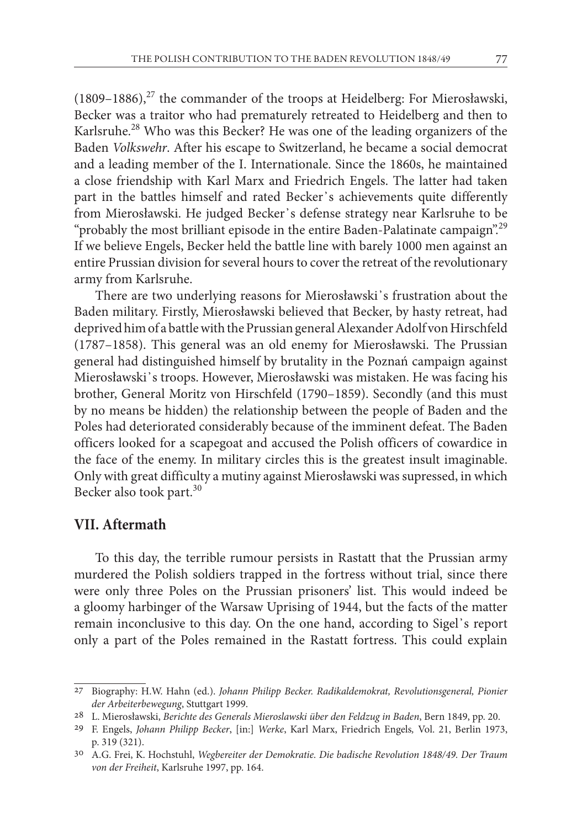$(1809-1886),<sup>27</sup>$  the commander of the troops at Heidelberg: For Mierosławski, Becker was a traitor who had prematurely retreated to Heidelberg and then to Karlsruhe.28 Who was this Becker? He was one of the leading organizers of the Baden *Volkswehr*. After his escape to Switzerland, he became a social democrat and a leading member of the I. Internationale. Since the 1860s, he maintained a close friendship with Karl Marx and Friedrich Engels. The latter had taken part in the battles himself and rated Becker᾽s achievements quite differently from Mierosławski. He judged Becker᾽s defense strategy near Karlsruhe to be "probably the most brilliant episode in the entire Baden-Palatinate campaign".<sup>29</sup> If we believe Engels, Becker held the battle line with barely 1000 men against an entire Prussian division for several hours to cover the retreat of the revolutionary army from Karlsruhe.

There are two underlying reasons for Mierosławski᾽s frustration about the Baden military. Firstly, Mierosławski believed that Becker, by hasty retreat, had deprived him of a battle with the Prussian general Alexander Adolf von Hirschfeld (1787–1858). This general was an old enemy for Mierosławski. The Prussian general had distinguished himself by brutality in the Poznań campaign against Mierosławski᾽s troops. However, Mierosławski was mistaken. He was facing his brother, General Moritz von Hirschfeld (1790–1859). Secondly (and this must by no means be hidden) the relationship between the people of Baden and the Poles had deteriorated considerably because of the imminent defeat. The Baden officers looked for a scapegoat and accused the Polish officers of cowardice in the face of the enemy. In military circles this is the greatest insult imaginable. Only with great difficulty a mutiny against Mierosławski was supressed, in which Becker also took part.<sup>30</sup>

# **VII. Aftermath**

To this day, the terrible rumour persists in Rastatt that the Prussian army murdered the Polish soldiers trapped in the fortress without trial, since there were only three Poles on the Prussian prisoners' list. This would indeed be a gloomy harbinger of the Warsaw Uprising of 1944, but the facts of the matter remain inconclusive to this day. On the one hand, according to Sigel᾽s report only a part of the Poles remained in the Rastatt fortress. This could explain

<sup>27</sup> Biography: H.W. Hahn (ed.). *Johann Philipp Becker. Radikaldemokrat, Revolutionsgeneral, Pionier der Arbeiterbewegung*, Stuttgart 1999.

<sup>28</sup> L. Mierosławski, *Berichte des Generals Mieroslawski über den Feldzug in Baden*, Bern 1849, pp. 20.

<sup>29</sup> F. Engels, *Johann Philipp Becker*, [in:] *Werke*, Karl Marx, Friedrich Engels*,* Vol. 21, Berlin 1973, p. 319 (321).

<sup>30</sup> A.G. Frei, K. Hochstuhl, *Wegbereiter der Demokratie. Die badische Revolution 1848/49. Der Traum von der Freiheit*, Karlsruhe 1997, pp. 164.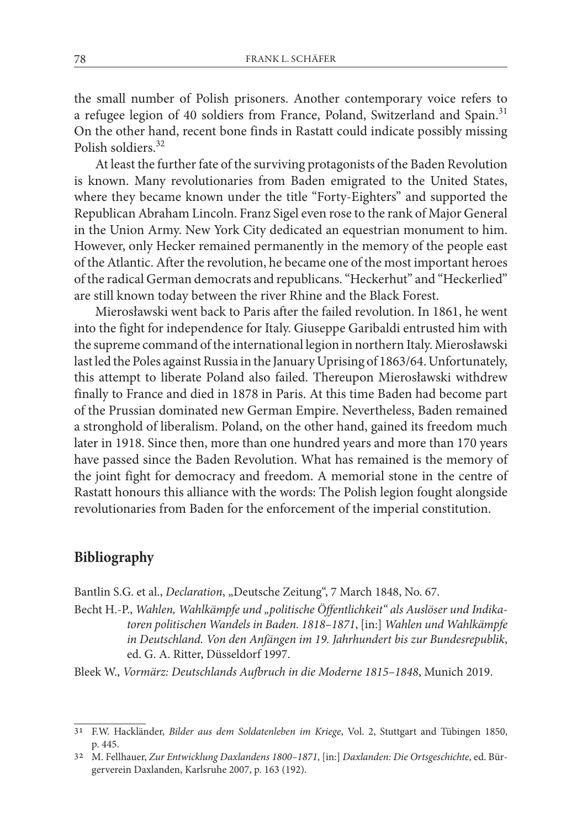the small number of Polish prisoners. Another contemporary voice refers to a refugee legion of 40 soldiers from France, Poland, Switzerland and Spain.<sup>31</sup> On the other hand, recent bone finds in Rastatt could indicate possibly missing Polish soldiers<sup>32</sup>

At least the further fate of the surviving protagonists of the Baden Revolution is known. Many revolutionaries from Baden emigrated to the United States, where they became known under the title "Forty-Eighters" and supported the Republican Abraham Lincoln. Franz Sigel even rose to the rank of Major General in the Union Army. New York City dedicated an equestrian monument to him. However, only Hecker remained permanently in the memory of the people east of the Atlantic. After the revolution, he became one of the most important heroes of the radical German democrats and republicans. "Heckerhut" and "Heckerlied" are still known today between the river Rhine and the Black Forest.

Mierosławski went back to Paris after the failed revolution. In 1861, he went into the fight for independence for Italy. Giuseppe Garibaldi entrusted him with the supreme command of the international legion in northern Italy. Mierosławski last led the Poles against Russia in the January Uprising of 1863/64. Unfortunately, this attempt to liberate Poland also failed. Thereupon Mierosławski withdrew finally to France and died in 1878 in Paris. At this time Baden had become part of the Prussian dominated new German Empire. Nevertheless, Baden remained a stronghold of liberalism. Poland, on the other hand, gained its freedom much later in 1918. Since then, more than one hundred years and more than 170 years have passed since the Baden Revolution. What has remained is the memory of the joint fight for democracy and freedom. A memorial stone in the centre of Rastatt honours this alliance with the words: The Polish legion fought alongside revolutionaries from Baden for the enforcement of the imperial constitution.

# **Bibliography**

Bantlin S.G. et al., *Declaration*, "Deutsche Zeitung", 7 March 1848, No. 67.

Becht H.-P., *Wahlen, Wahlkämpfe und "politische Öffentlichkeit" als Auslöser und Indikatoren politischen Wandels in Baden. 1818–1871*, [in:] *Wahlen und Wahlkämpfe in Deutschland. Von den Anfängen im 19. Jahrhundert bis zur Bundesrepublik*, ed. G. A. Ritter, Düsseldorf 1997.

Bleek W., *Vormärz: Deutschlands Aufbruch in die Moderne 1815–1848*, Munich 2019.

<sup>31</sup> F.W. Hackländer, *Bilder aus dem Soldatenleben im Kriege*, Vol. 2, Stuttgart and Tübingen 1850, p. 445.

<sup>32</sup> M. Fellhauer, *Zur Entwicklung Daxlandens 1800–1871*, [in:] *Daxlanden: Die Ortsgeschichte*, ed. Bürgerverein Daxlanden, Karlsruhe 2007, p. 163 (192).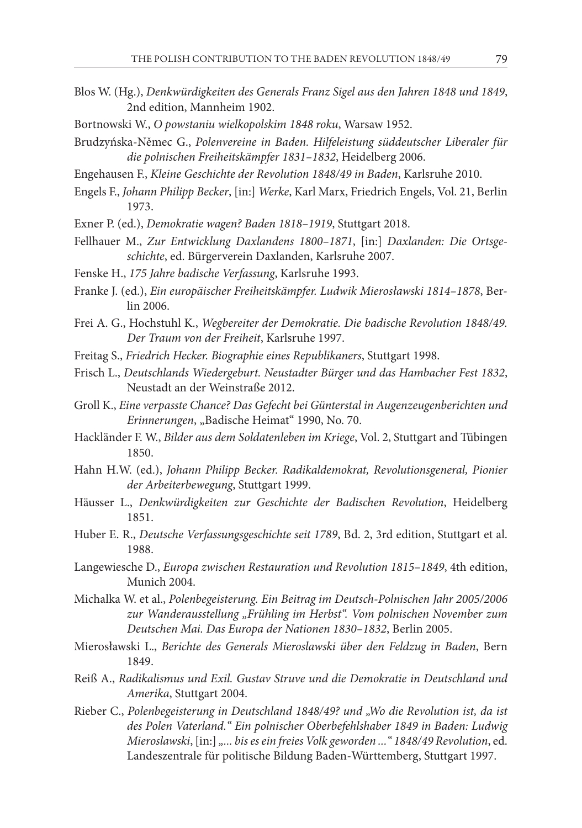- Blos W. (Hg.), *Denkwürdigkeiten des Generals Franz Sigel aus den Jahren 1848 und 1849*, 2nd edition, Mannheim 1902.
- Bortnowski W., *O powstaniu wielkopolskim 1848 roku*, Warsaw 1952.
- Brudzyńska-Němec G., *Polenvereine in Baden. Hilfeleistung süddeutscher Liberaler für die polnischen Freiheitskämpfer 1831–1832*, Heidelberg 2006.
- Engehausen F., *Kleine Geschichte der Revolution 1848/49 in Baden*, Karlsruhe 2010.
- Engels F., *Johann Philipp Becker*, [in:] *Werke*, Karl Marx, Friedrich Engels, Vol. 21, Berlin 1973.
- Exner P. (ed.), *Demokratie wagen? Baden 1818–1919*, Stuttgart 2018.
- Fellhauer M., *Zur Entwicklung Daxlandens 1800–1871*, [in:] *Daxlanden: Die Ortsgeschichte*, ed. Bürgerverein Daxlanden, Karlsruhe 2007.
- Fenske H., *175 Jahre badische Verfassung*, Karlsruhe 1993.
- Franke J. (ed.), *Ein europäischer Freiheitskämpfer. Ludwik Mierosławski 1814–1878*, Berlin 2006.
- Frei A. G., Hochstuhl K., *Wegbereiter der Demokratie. Die badische Revolution 1848/49. Der Traum von der Freiheit*, Karlsruhe 1997.
- Freitag S., *Friedrich Hecker. Biographie eines Republikaners*, Stuttgart 1998.
- Frisch L., *Deutschlands Wiedergeburt. Neustadter Bürger und das Hambacher Fest 1832*, Neustadt an der Weinstraße 2012.
- Groll K., *Eine verpasste Chance? Das Gefecht bei Günterstal in Augenzeugenberichten und Erinnerungen*, "Badische Heimat" 1990, No. 70.
- Hackländer F. W., *Bilder aus dem Soldatenleben im Kriege*, Vol. 2, Stuttgart and Tübingen 1850.
- Hahn H.W. (ed.), *Johann Philipp Becker. Radikaldemokrat, Revolutionsgeneral, Pionier der Arbeiterbewegung*, Stuttgart 1999.
- Häusser L., *Denkwürdigkeiten zur Geschichte der Badischen Revolution*, Heidelberg 1851.
- Huber E. R., *Deutsche Verfassungsgeschichte seit 1789*, Bd. 2, 3rd edition, Stuttgart et al. 1988.
- Langewiesche D., *Europa zwischen Restauration und Revolution 1815–1849*, 4th edition, Munich 2004.
- Michalka W. et al., *Polenbegeisterung. Ein Beitrag im Deutsch-Polnischen Jahr 2005/2006 zur Wanderausstellung "Frühling im Herbst". Vom polnischen November zum Deutschen Mai. Das Europa der Nationen 1830–1832*, Berlin 2005.
- Mierosławski L., *Berichte des Generals Mieroslawski über den Feldzug in Baden*, Bern 1849.
- Reiß A., *Radikalismus und Exil. Gustav Struve und die Demokratie in Deutschland und Amerika*, Stuttgart 2004.
- Rieber C., *Polenbegeisterung in Deutschland 1848/49? und "Wo die Revolution ist, da ist des Polen Vaterland." Ein polnischer Oberbefehlshaber 1849 in Baden: Ludwig Mieroslawski*, [in:] *"... bis es ein freies Volk geworden ..." 1848/49 Revolution*, ed. Landeszentrale für politische Bildung Baden-Württemberg, Stuttgart 1997.